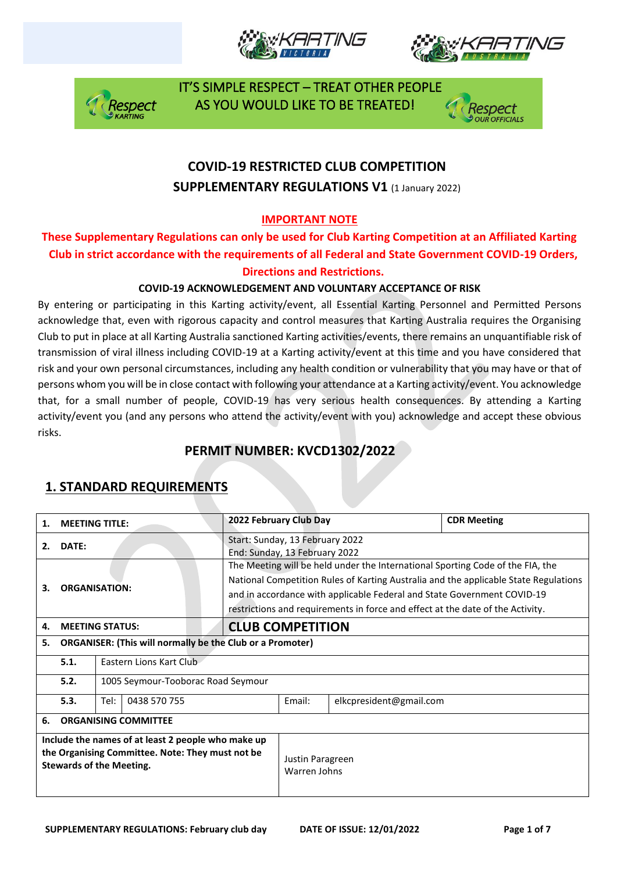







## **COVID-19 RESTRICTED CLUB COMPETITION SUPPLEMENTARY REGULATIONS V1 (1 January 2022)**

### **IMPORTANT NOTE**

### **These Supplementary Regulations can only be used for Club Karting Competition at an Affiliated Karting Club in strict accordance with the requirements of all Federal and State Government COVID-19 Orders, Directions and Restrictions.**

### **COVID-19 ACKNOWLEDGEMENT AND VOLUNTARY ACCEPTANCE OF RISK**

By entering or participating in this Karting activity/event, all Essential Karting Personnel and Permitted Persons acknowledge that, even with rigorous capacity and control measures that Karting Australia requires the Organising Club to put in place at all Karting Australia sanctioned Karting activities/events, there remains an unquantifiable risk of transmission of viral illness including COVID-19 at a Karting activity/event at this time and you have considered that risk and your own personal circumstances, including any health condition or vulnerability that you may have or that of persons whom you will be in close contact with following your attendance at a Karting activity/event. You acknowledge that, for a small number of people, COVID-19 has very serious health consequences. By attending a Karting activity/event you (and any persons who attend the activity/event with you) acknowledge and accept these obvious risks.

## **PERMIT NUMBER: KVCD1302/2022**

| 1.                                                                                                                                        | <b>MEETING TITLE:</b>       |                                    |                                                                                                                                                                                                                                                                                                                                     | 2022 February Club Day                                           |        |                         | <b>CDR Meeting</b> |  |
|-------------------------------------------------------------------------------------------------------------------------------------------|-----------------------------|------------------------------------|-------------------------------------------------------------------------------------------------------------------------------------------------------------------------------------------------------------------------------------------------------------------------------------------------------------------------------------|------------------------------------------------------------------|--------|-------------------------|--------------------|--|
| DATE:<br>2.                                                                                                                               |                             |                                    |                                                                                                                                                                                                                                                                                                                                     | Start: Sunday, 13 February 2022<br>End: Sunday, 13 February 2022 |        |                         |                    |  |
| <b>ORGANISATION:</b><br>3.                                                                                                                |                             |                                    | The Meeting will be held under the International Sporting Code of the FIA, the<br>National Competition Rules of Karting Australia and the applicable State Regulations<br>and in accordance with applicable Federal and State Government COVID-19<br>restrictions and requirements in force and effect at the date of the Activity. |                                                                  |        |                         |                    |  |
| 4.                                                                                                                                        | <b>MEETING STATUS:</b>      |                                    |                                                                                                                                                                                                                                                                                                                                     | <b>CLUB COMPETITION</b>                                          |        |                         |                    |  |
| <b>ORGANISER: (This will normally be the Club or a Promoter)</b><br>5.                                                                    |                             |                                    |                                                                                                                                                                                                                                                                                                                                     |                                                                  |        |                         |                    |  |
|                                                                                                                                           | 5.1.                        | Eastern Lions Kart Club            |                                                                                                                                                                                                                                                                                                                                     |                                                                  |        |                         |                    |  |
|                                                                                                                                           | 5.2.                        | 1005 Seymour-Tooborac Road Seymour |                                                                                                                                                                                                                                                                                                                                     |                                                                  |        |                         |                    |  |
|                                                                                                                                           | 5.3.                        | 0438 570 755<br>Tel:               |                                                                                                                                                                                                                                                                                                                                     |                                                                  | Email: | elkcpresident@gmail.com |                    |  |
| 6.                                                                                                                                        | <b>ORGANISING COMMITTEE</b> |                                    |                                                                                                                                                                                                                                                                                                                                     |                                                                  |        |                         |                    |  |
| Include the names of at least 2 people who make up<br>the Organising Committee. Note: They must not be<br><b>Stewards of the Meeting.</b> |                             |                                    | Justin Paragreen<br>Warren Johns                                                                                                                                                                                                                                                                                                    |                                                                  |        |                         |                    |  |

## **1. STANDARD REQUIREMENTS**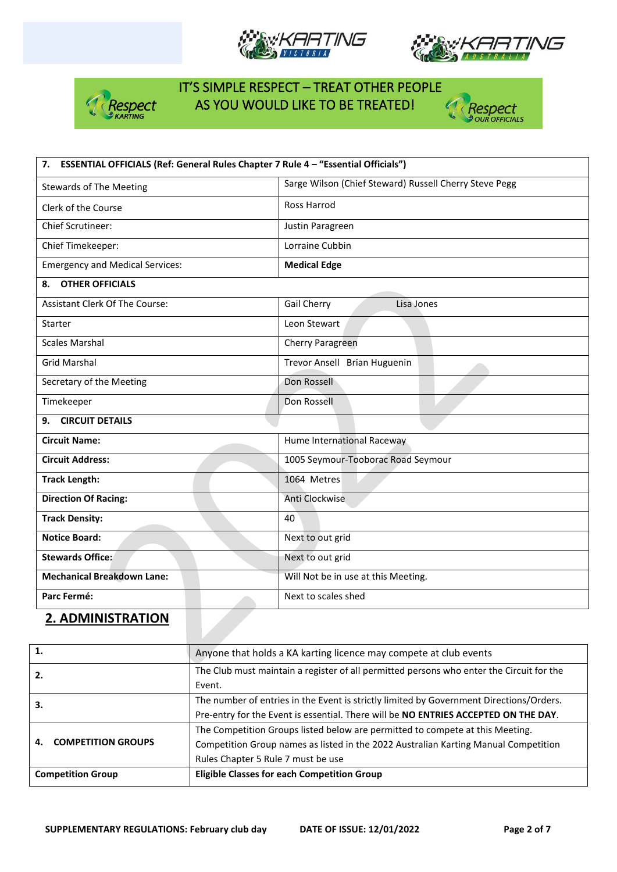







| 7. ESSENTIAL OFFICIALS (Ref: General Rules Chapter 7 Rule 4 - "Essential Officials") |                                                        |  |  |
|--------------------------------------------------------------------------------------|--------------------------------------------------------|--|--|
| <b>Stewards of The Meeting</b>                                                       | Sarge Wilson (Chief Steward) Russell Cherry Steve Pegg |  |  |
| Clerk of the Course                                                                  | <b>Ross Harrod</b>                                     |  |  |
| <b>Chief Scrutineer:</b>                                                             | Justin Paragreen                                       |  |  |
| Chief Timekeeper:                                                                    | Lorraine Cubbin                                        |  |  |
| <b>Emergency and Medical Services:</b>                                               | <b>Medical Edge</b>                                    |  |  |
| <b>OTHER OFFICIALS</b><br>8.                                                         |                                                        |  |  |
| Assistant Clerk Of The Course:                                                       | Gail Cherry<br>Lisa Jones                              |  |  |
| Starter                                                                              | Leon Stewart                                           |  |  |
| <b>Scales Marshal</b>                                                                | Cherry Paragreen                                       |  |  |
| <b>Grid Marshal</b>                                                                  | Trevor Ansell Brian Huguenin                           |  |  |
| Secretary of the Meeting                                                             | Don Rossell                                            |  |  |
| Timekeeper                                                                           | Don Rossell                                            |  |  |
| <b>CIRCUIT DETAILS</b><br>9.                                                         |                                                        |  |  |
| <b>Circuit Name:</b>                                                                 | Hume International Raceway                             |  |  |
| <b>Circuit Address:</b>                                                              | 1005 Seymour-Tooborac Road Seymour                     |  |  |
| <b>Track Length:</b>                                                                 | 1064 Metres                                            |  |  |
| <b>Direction Of Racing:</b>                                                          | Anti Clockwise                                         |  |  |
| <b>Track Density:</b>                                                                | 40                                                     |  |  |
| <b>Notice Board:</b>                                                                 | Next to out grid                                       |  |  |
| <b>Stewards Office:</b>                                                              | Next to out grid                                       |  |  |
| <b>Mechanical Breakdown Lane:</b>                                                    | Will Not be in use at this Meeting.                    |  |  |
| Parc Fermé:                                                                          | Next to scales shed                                    |  |  |

### **2. ADMINISTRATION**

| 1.                              | Anyone that holds a KA karting licence may compete at club events                        |  |
|---------------------------------|------------------------------------------------------------------------------------------|--|
| 2.                              | The Club must maintain a register of all permitted persons who enter the Circuit for the |  |
|                                 | Event.                                                                                   |  |
| 3.                              | The number of entries in the Event is strictly limited by Government Directions/Orders.  |  |
|                                 | Pre-entry for the Event is essential. There will be NO ENTRIES ACCEPTED ON THE DAY.      |  |
|                                 | The Competition Groups listed below are permitted to compete at this Meeting.            |  |
| <b>COMPETITION GROUPS</b><br>4. | Competition Group names as listed in the 2022 Australian Karting Manual Competition      |  |
|                                 | Rules Chapter 5 Rule 7 must be use                                                       |  |
| <b>Competition Group</b>        | <b>Eligible Classes for each Competition Group</b>                                       |  |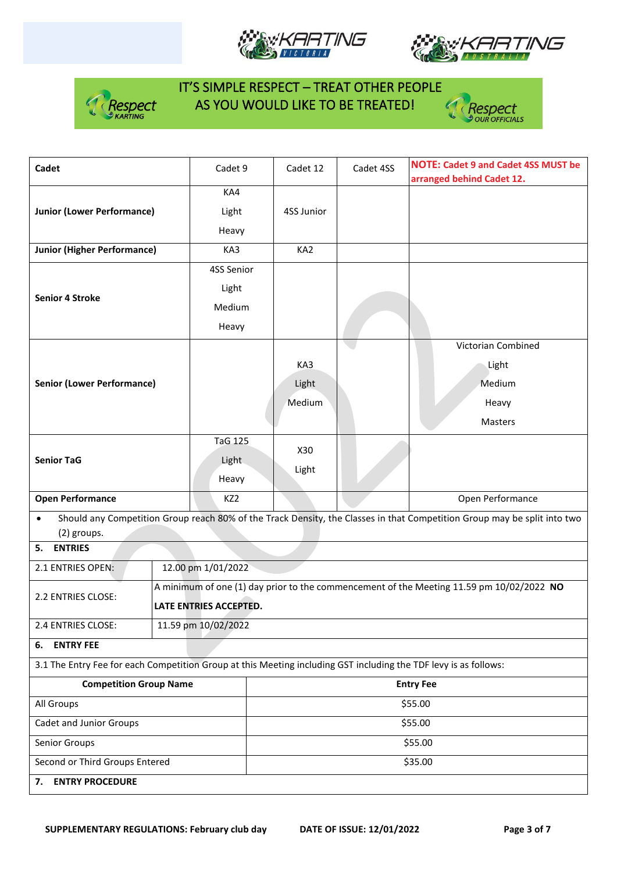







| Cadet                                                                                                            |                        | Cadet 9                                                                                  | Cadet 12 | Cadet 4SS        | <b>NOTE: Cadet 9 and Cadet 4SS MUST be</b><br>arranged behind Cadet 12.                                                  |  |  |
|------------------------------------------------------------------------------------------------------------------|------------------------|------------------------------------------------------------------------------------------|----------|------------------|--------------------------------------------------------------------------------------------------------------------------|--|--|
|                                                                                                                  |                        | KA4                                                                                      |          |                  |                                                                                                                          |  |  |
| <b>Junior (Lower Performance)</b>                                                                                | Light                  | 4SS Junior                                                                               |          |                  |                                                                                                                          |  |  |
|                                                                                                                  | Heavy                  |                                                                                          |          |                  |                                                                                                                          |  |  |
| <b>Junior (Higher Performance)</b>                                                                               | KA3                    | KA <sub>2</sub>                                                                          |          |                  |                                                                                                                          |  |  |
|                                                                                                                  |                        |                                                                                          |          |                  |                                                                                                                          |  |  |
|                                                                                                                  |                        | 4SS Senior                                                                               |          |                  |                                                                                                                          |  |  |
| <b>Senior 4 Stroke</b>                                                                                           |                        | Light                                                                                    |          |                  |                                                                                                                          |  |  |
|                                                                                                                  |                        | Medium                                                                                   |          |                  |                                                                                                                          |  |  |
|                                                                                                                  |                        | Heavy                                                                                    |          |                  |                                                                                                                          |  |  |
|                                                                                                                  |                        |                                                                                          |          |                  | Victorian Combined                                                                                                       |  |  |
|                                                                                                                  |                        |                                                                                          | KA3      |                  | Light                                                                                                                    |  |  |
| <b>Senior (Lower Performance)</b>                                                                                |                        |                                                                                          | Light    |                  | Medium                                                                                                                   |  |  |
|                                                                                                                  |                        |                                                                                          | Medium   |                  | Heavy                                                                                                                    |  |  |
|                                                                                                                  |                        |                                                                                          |          |                  | Masters                                                                                                                  |  |  |
|                                                                                                                  |                        | <b>TaG 125</b>                                                                           |          |                  |                                                                                                                          |  |  |
| <b>Senior TaG</b>                                                                                                |                        |                                                                                          | X30      |                  |                                                                                                                          |  |  |
|                                                                                                                  |                        | Light                                                                                    | Light    |                  |                                                                                                                          |  |  |
|                                                                                                                  |                        | Heavy                                                                                    |          |                  |                                                                                                                          |  |  |
| <b>Open Performance</b>                                                                                          | KZ <sub>2</sub>        |                                                                                          |          | Open Performance |                                                                                                                          |  |  |
| $\bullet$                                                                                                        |                        |                                                                                          |          |                  | Should any Competition Group reach 80% of the Track Density, the Classes in that Competition Group may be split into two |  |  |
| (2) groups.<br>5. ENTRIES                                                                                        |                        |                                                                                          |          |                  |                                                                                                                          |  |  |
| 2.1 ENTRIES OPEN:<br>12.00 pm 1/01/2022                                                                          |                        |                                                                                          |          |                  |                                                                                                                          |  |  |
|                                                                                                                  |                        |                                                                                          |          |                  |                                                                                                                          |  |  |
| 2.2 ENTRIES CLOSE:                                                                                               |                        | A minimum of one (1) day prior to the commencement of the Meeting 11.59 pm 10/02/2022 NO |          |                  |                                                                                                                          |  |  |
|                                                                                                                  | LATE ENTRIES ACCEPTED. |                                                                                          |          |                  |                                                                                                                          |  |  |
| 2.4 ENTRIES CLOSE:                                                                                               | 11.59 pm 10/02/2022    |                                                                                          |          |                  |                                                                                                                          |  |  |
| <b>ENTRY FEE</b><br>6.                                                                                           |                        |                                                                                          |          |                  |                                                                                                                          |  |  |
| 3.1 The Entry Fee for each Competition Group at this Meeting including GST including the TDF levy is as follows: |                        |                                                                                          |          |                  |                                                                                                                          |  |  |
| <b>Competition Group Name</b>                                                                                    |                        | <b>Entry Fee</b>                                                                         |          |                  |                                                                                                                          |  |  |
| All Groups                                                                                                       |                        | \$55.00                                                                                  |          |                  |                                                                                                                          |  |  |
| Cadet and Junior Groups                                                                                          |                        | \$55.00                                                                                  |          |                  |                                                                                                                          |  |  |
| Senior Groups                                                                                                    |                        | \$55.00                                                                                  |          |                  |                                                                                                                          |  |  |
| Second or Third Groups Entered                                                                                   |                        |                                                                                          |          |                  | \$35.00                                                                                                                  |  |  |
| <b>ENTRY PROCEDURE</b><br>7.                                                                                     |                        |                                                                                          |          |                  |                                                                                                                          |  |  |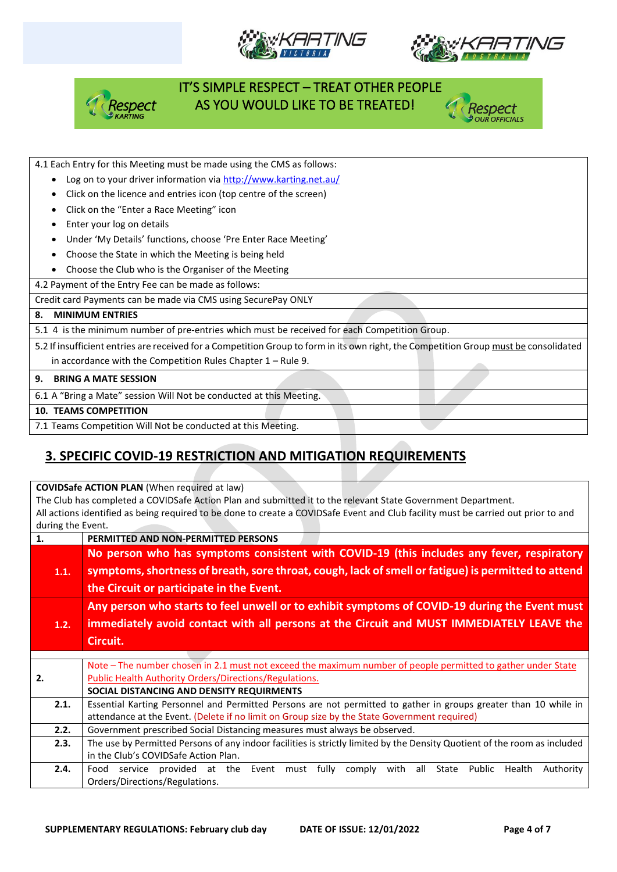







#### 4.1 Each Entry for this Meeting must be made using the CMS as follows:

- Log on to your driver information vi[a http://www.karting.net.au/](http://www.karting.net.au/)
- Click on the licence and entries icon (top centre of the screen)
- Click on the "Enter a Race Meeting" icon
- Enter your log on details
- Under 'My Details' functions, choose 'Pre Enter Race Meeting'
- Choose the State in which the Meeting is being held

• Choose the Club who is the Organiser of the Meeting

4.2 Payment of the Entry Fee can be made as follows:

Credit card Payments can be made via CMS using SecurePay ONLY

#### **8. MINIMUM ENTRIES**

5.1 4 is the minimum number of pre-entries which must be received for each Competition Group.

5.2 If insufficient entries are received for a Competition Group to form in its own right, the Competition Group must be consolidated in accordance with the Competition Rules Chapter 1 – Rule 9.

#### **9. BRING A MATE SESSION**

6.1 A "Bring a Mate" session Will Not be conducted at this Meeting.

#### **10. TEAMS COMPETITION**

7.1 Teams Competition Will Not be conducted at this Meeting.

## **3. SPECIFIC COVID-19 RESTRICTION AND MITIGATION REQUIREMENTS**

**COVIDSafe ACTION PLAN** (When required at law)

The Club has completed a COVIDSafe Action Plan and submitted it to the relevant State Government Department. All actions identified as being required to be done to create a COVIDSafe Event and Club facility must be carried out prior to and during the Event.

| 1.   | PERMITTED AND NON-PERMITTED PERSONS                                                                                       |
|------|---------------------------------------------------------------------------------------------------------------------------|
|      | No person who has symptoms consistent with COVID-19 (this includes any fever, respiratory                                 |
| 1.1. | symptoms, shortness of breath, sore throat, cough, lack of smell or fatigue) is permitted to attend                       |
|      | the Circuit or participate in the Event.                                                                                  |
|      | Any person who starts to feel unwell or to exhibit symptoms of COVID-19 during the Event must                             |
| 1.2. | immediately avoid contact with all persons at the Circuit and MUST IMMEDIATELY LEAVE the                                  |
|      | Circuit.                                                                                                                  |
|      |                                                                                                                           |
|      | Note - The number chosen in 2.1 must not exceed the maximum number of people permitted to gather under State              |
| 2.   | <b>Public Health Authority Orders/Directions/Regulations.</b>                                                             |
|      | SOCIAL DISTANCING AND DENSITY REQUIRMENTS                                                                                 |
| 2.1. | Essential Karting Personnel and Permitted Persons are not permitted to gather in groups greater than 10 while in          |
|      | attendance at the Event. (Delete if no limit on Group size by the State Government required)                              |
| 2.2. | Government prescribed Social Distancing measures must always be observed.                                                 |
| 2.3. | The use by Permitted Persons of any indoor facilities is strictly limited by the Density Quotient of the room as included |
|      | in the Club's COVIDSafe Action Plan.                                                                                      |
| 2.4. | Food service provided at the<br>Event<br>fully comply<br>with all<br>State Public<br>Authority<br>Health<br>must          |
|      | Orders/Directions/Regulations.                                                                                            |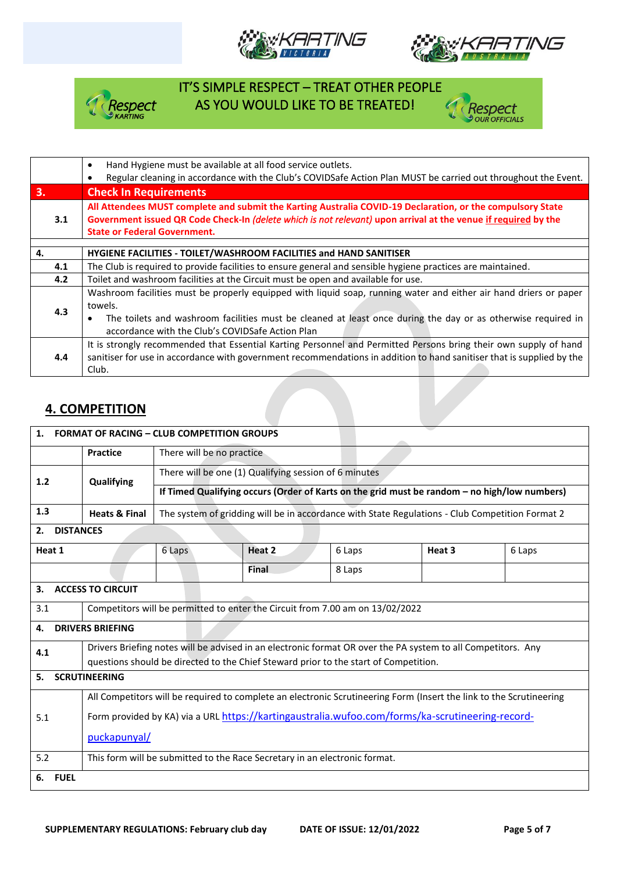



'espect



 IT'S SIMPLE RESPECT – TREAT OTHER PEOPLE Respect AS YOU WOULD LIKE TO BE TREATED!



### **4. COMPETITION**

| <b>FORMAT OF RACING - CLUB COMPETITION GROUPS</b><br>1.                                                             |                                                                                                              |                                                                                                 |        |        |        |        |  |
|---------------------------------------------------------------------------------------------------------------------|--------------------------------------------------------------------------------------------------------------|-------------------------------------------------------------------------------------------------|--------|--------|--------|--------|--|
|                                                                                                                     | <b>Practice</b>                                                                                              | There will be no practice                                                                       |        |        |        |        |  |
| 1.2                                                                                                                 | Qualifying                                                                                                   | There will be one (1) Qualifying session of 6 minutes                                           |        |        |        |        |  |
|                                                                                                                     |                                                                                                              | If Timed Qualifying occurs (Order of Karts on the grid must be random - no high/low numbers)    |        |        |        |        |  |
| 1.3                                                                                                                 | <b>Heats &amp; Final</b>                                                                                     | The system of gridding will be in accordance with State Regulations - Club Competition Format 2 |        |        |        |        |  |
| <b>DISTANCES</b><br>2.                                                                                              |                                                                                                              |                                                                                                 |        |        |        |        |  |
| Heat 1                                                                                                              |                                                                                                              | 6 Laps                                                                                          | Heat 2 | 6 Laps | Heat 3 | 6 Laps |  |
|                                                                                                                     |                                                                                                              |                                                                                                 | Final  | 8 Laps |        |        |  |
| <b>ACCESS TO CIRCUIT</b><br>3.                                                                                      |                                                                                                              |                                                                                                 |        |        |        |        |  |
| 3.1                                                                                                                 | Competitors will be permitted to enter the Circuit from 7.00 am on 13/02/2022                                |                                                                                                 |        |        |        |        |  |
| <b>DRIVERS BRIEFING</b><br>4.                                                                                       |                                                                                                              |                                                                                                 |        |        |        |        |  |
| 4.1                                                                                                                 | Drivers Briefing notes will be advised in an electronic format OR over the PA system to all Competitors. Any |                                                                                                 |        |        |        |        |  |
| questions should be directed to the Chief Steward prior to the start of Competition.                                |                                                                                                              |                                                                                                 |        |        |        |        |  |
| <b>SCRUTINEERING</b><br>5.                                                                                          |                                                                                                              |                                                                                                 |        |        |        |        |  |
| All Competitors will be required to complete an electronic Scrutineering Form (Insert the link to the Scrutineering |                                                                                                              |                                                                                                 |        |        |        |        |  |
| Form provided by KA) via a URL https://kartingaustralia.wufoo.com/forms/ka-scrutineering-record-<br>5.1             |                                                                                                              |                                                                                                 |        |        |        |        |  |
|                                                                                                                     | puckapunyal/                                                                                                 |                                                                                                 |        |        |        |        |  |
| 5.2                                                                                                                 | This form will be submitted to the Race Secretary in an electronic format.                                   |                                                                                                 |        |        |        |        |  |
| <b>FUEL</b><br>6.                                                                                                   |                                                                                                              |                                                                                                 |        |        |        |        |  |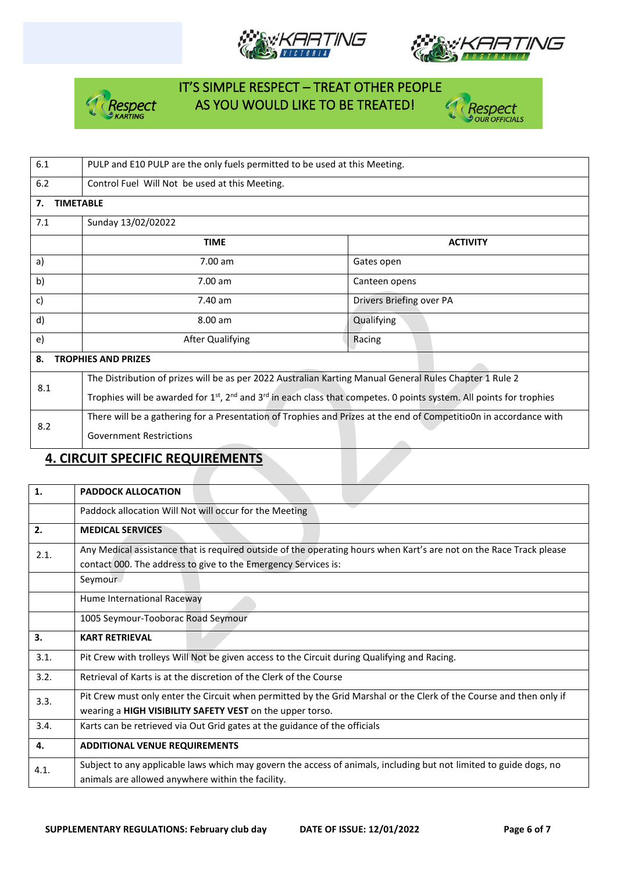







| 6.1                              | PULP and E10 PULP are the only fuels permitted to be used at this Meeting.                                                          |                          |  |  |  |  |
|----------------------------------|-------------------------------------------------------------------------------------------------------------------------------------|--------------------------|--|--|--|--|
| $6.2$                            | Control Fuel Will Not be used at this Meeting.                                                                                      |                          |  |  |  |  |
| 7.                               | <b>TIMETABLE</b>                                                                                                                    |                          |  |  |  |  |
| 7.1                              | Sunday 13/02/02022                                                                                                                  |                          |  |  |  |  |
|                                  | <b>TIME</b>                                                                                                                         | <b>ACTIVITY</b>          |  |  |  |  |
| a)                               | 7.00 am                                                                                                                             | Gates open               |  |  |  |  |
| b)                               | 7.00 am                                                                                                                             | Canteen opens            |  |  |  |  |
| c)                               | 7.40 am                                                                                                                             | Drivers Briefing over PA |  |  |  |  |
| d)                               | 8.00 am                                                                                                                             | Qualifying               |  |  |  |  |
| e)                               | <b>After Qualifying</b>                                                                                                             | Racing                   |  |  |  |  |
| 8.<br><b>TROPHIES AND PRIZES</b> |                                                                                                                                     |                          |  |  |  |  |
| 8.1                              | The Distribution of prizes will be as per 2022 Australian Karting Manual General Rules Chapter 1 Rule 2                             |                          |  |  |  |  |
|                                  | Trophies will be awarded for $1^{st}$ , $2^{nd}$ and $3^{rd}$ in each class that competes. 0 points system. All points for trophies |                          |  |  |  |  |
| 8.2                              | There will be a gathering for a Presentation of Trophies and Prizes at the end of Competitio0n in accordance with                   |                          |  |  |  |  |
|                                  | <b>Government Restrictions</b>                                                                                                      |                          |  |  |  |  |
|                                  |                                                                                                                                     |                          |  |  |  |  |

### **4. CIRCUIT SPECIFIC REQUIREMENTS**

| 1.   | <b>PADDOCK ALLOCATION</b>                                                                                                                                                             |
|------|---------------------------------------------------------------------------------------------------------------------------------------------------------------------------------------|
|      | Paddock allocation Will Not will occur for the Meeting                                                                                                                                |
| 2.   | <b>MEDICAL SERVICES</b>                                                                                                                                                               |
| 2.1. | Any Medical assistance that is required outside of the operating hours when Kart's are not on the Race Track please<br>contact 000. The address to give to the Emergency Services is: |
|      | Seymour                                                                                                                                                                               |
|      | Hume International Raceway                                                                                                                                                            |
|      | 1005 Seymour-Tooborac Road Seymour                                                                                                                                                    |
| 3.   | <b>KART RETRIEVAL</b>                                                                                                                                                                 |
| 3.1. | Pit Crew with trolleys Will Not be given access to the Circuit during Qualifying and Racing.                                                                                          |
| 3.2. | Retrieval of Karts is at the discretion of the Clerk of the Course                                                                                                                    |
| 3.3. | Pit Crew must only enter the Circuit when permitted by the Grid Marshal or the Clerk of the Course and then only if<br>wearing a HIGH VISIBILITY SAFETY VEST on the upper torso.      |
| 3.4. | Karts can be retrieved via Out Grid gates at the guidance of the officials                                                                                                            |
| 4.   | <b>ADDITIONAL VENUE REQUIREMENTS</b>                                                                                                                                                  |
| 4.1. | Subject to any applicable laws which may govern the access of animals, including but not limited to guide dogs, no<br>animals are allowed anywhere within the facility.               |